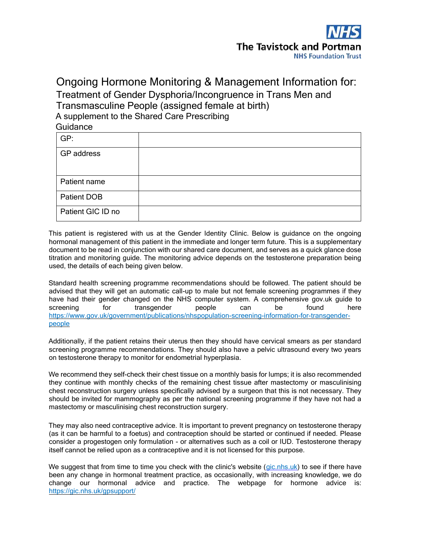

# Ongoing Hormone Monitoring & Management Information for: Treatment of Gender Dysphoria/Incongruence in Trans Men and Transmasculine People (assigned female at birth) A supplement to the Shared Care Prescribing Guidance

| GP:               |  |
|-------------------|--|
| GP address        |  |
|                   |  |
| Patient name      |  |
| Patient DOB       |  |
| Patient GIC ID no |  |

This patient is registered with us at the Gender Identity Clinic. Below is guidance on the ongoing hormonal management of this patient in the immediate and longer term future. This is a supplementary document to be read in conjunction with our shared care document, and serves as a quick glance dose titration and monitoring guide. The monitoring advice depends on the testosterone preparation being used, the details of each being given below.

Standard health screening programme recommendations should be followed. The patient should be advised that they will get an automatic call-up to male but not female screening programmes if they have had their gender changed on the NHS computer system. A comprehensive gov.uk guide to screening for transgender people can be found here [https://www.gov.uk/government/publications/nhspopulation-screening-information-for-transgender](https://www.gov.uk/government/publications/nhs-population-screening-information-for-transgender-people)[people](https://www.gov.uk/government/publications/nhs-population-screening-information-for-transgender-people) 

Additionally, if the patient retains their uterus then they should have cervical smears as per standard screening programme recommendations. They should also have a pelvic ultrasound every two years on testosterone therapy to monitor for endometrial hyperplasia.

We recommend they self-check their chest tissue on a monthly basis for lumps; it is also recommended they continue with monthly checks of the remaining chest tissue after mastectomy or masculinising chest reconstruction surgery unless specifically advised by a surgeon that this is not necessary. They should be invited for mammography as per the national screening programme if they have not had a mastectomy or masculinising chest reconstruction surgery.

They may also need contraceptive advice. It is important to prevent pregnancy on testosterone therapy (as it can be harmful to a foetus) and contraception should be started or continued if needed. Please consider a progestogen only formulation - or alternatives such as a coil or IUD. Testosterone therapy itself cannot be relied upon as a contraceptive and it is not licensed for this purpose.

We suggest that from time to time you check with the clinic's website (gic.nhs.uk) to see if there have been any change in hormonal treatment practice, as occasionally, with increasing knowledge, we do change our hormonal advice and practice. The webpage for hormone advice is[:](https://gic.nhs.uk/gp-support/) [https://gic.nhs.uk/gpsupport/](https://gic.nhs.uk/gp-support/)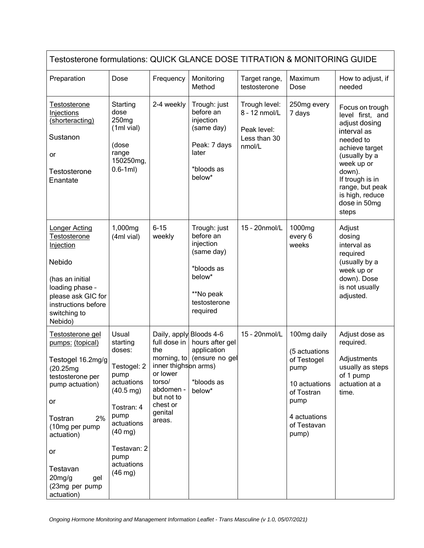| Testosterone formulations: QUICK GLANCE DOSE TITRATION & MONITORING GUIDE                                                                                                                                                                         |                                                                                                                                                                                                            |                                                                                                                                                          |                                                                                                                       |                                                                         |                                                                                                                                    |                                                                                                                                                                                                                               |  |  |
|---------------------------------------------------------------------------------------------------------------------------------------------------------------------------------------------------------------------------------------------------|------------------------------------------------------------------------------------------------------------------------------------------------------------------------------------------------------------|----------------------------------------------------------------------------------------------------------------------------------------------------------|-----------------------------------------------------------------------------------------------------------------------|-------------------------------------------------------------------------|------------------------------------------------------------------------------------------------------------------------------------|-------------------------------------------------------------------------------------------------------------------------------------------------------------------------------------------------------------------------------|--|--|
| Preparation                                                                                                                                                                                                                                       | Dose                                                                                                                                                                                                       | Frequency                                                                                                                                                | Monitoring<br>Method                                                                                                  | Target range,<br>testosterone                                           | Maximum<br>Dose                                                                                                                    | How to adjust, if<br>needed                                                                                                                                                                                                   |  |  |
| <b>Testosterone</b><br>Injections<br>(shorteracting)<br>Sustanon<br>or<br>Testosterone<br>Enantate                                                                                                                                                | Starting<br>dose<br>250 <sub>mg</sub><br>(1ml vial)<br>(dose<br>range<br>150250mg,<br>$0.6 - 1ml)$                                                                                                         | 2-4 weekly                                                                                                                                               | Trough: just<br>before an<br>injection<br>(same day)<br>Peak: 7 days<br>later<br>*bloods as<br>below*                 | Trough level:<br>8 - 12 nmol/L<br>Peak level:<br>Less than 30<br>nmol/L | 250mg every<br>7 days                                                                                                              | Focus on trough<br>level first, and<br>adjust dosing<br>interval as<br>needed to<br>achieve target<br>(usually by a<br>week up or<br>down).<br>If trough is in<br>range, but peak<br>is high, reduce<br>dose in 50mg<br>steps |  |  |
| <b>Longer Acting</b><br>Testosterone<br>Injection<br>Nebido<br>(has an initial<br>loading phase -<br>please ask GIC for<br>instructions before<br>switching to<br>Nebido)                                                                         | 1,000mg<br>(4ml vial)                                                                                                                                                                                      | $6 - 15$<br>weekly                                                                                                                                       | Trough: just<br>before an<br>injection<br>(same day)<br>*bloods as<br>below*<br>**No peak<br>testosterone<br>required | 15 - 20nmol/L                                                           | 1000mg<br>every 6<br>weeks                                                                                                         | Adjust<br>dosing<br>interval as<br>required<br>(usually by a<br>week up or<br>down). Dose<br>is not usually<br>adjusted.                                                                                                      |  |  |
| <u>Testosterone gel</u><br>pumps: (topical)<br>Testogel 16.2mg/g<br>(20.25mg)<br>testosterone per<br>pump actuation)<br>or<br>2%<br>Tostran<br>(10mg per pump<br>actuation)<br>or<br>Testavan<br>$20$ mg/g<br>gel<br>(23mg per pump<br>actuation) | Usual<br>starting<br>doses:<br>Testogel: 2<br>pump<br>actuations<br>$(40.5 \text{ mg})$<br>Tostran: 4<br>pump<br>actuations<br>$(40 \text{ mg})$<br>Testavan: 2<br>pump<br>actuations<br>$(46 \text{ mg})$ | Daily, apply Bloods 4-6<br>full dose in<br>the<br>inner thighson arms)<br>or lower<br>torso/<br>abdomen -<br>but not to<br>chest or<br>genital<br>areas. | hours after gel<br>application<br>morning, to (ensure no gel<br>*bloods as<br>below*                                  | 15 - 20nmol/L                                                           | 100mg daily<br>(5 actuations<br>of Testogel<br>pump<br>10 actuations<br>of Tostran<br>pump<br>4 actuations<br>of Testavan<br>pump) | Adjust dose as<br>required.<br>Adjustments<br>usually as steps<br>of 1 pump<br>actuation at a<br>time.                                                                                                                        |  |  |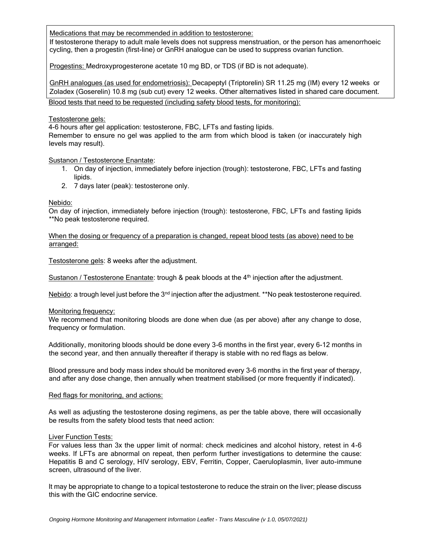Medications that may be recommended in addition to testosterone:

If testosterone therapy to adult male levels does not suppress menstruation, or the person has amenorrhoeic cycling, then a progestin (first-line) or GnRH analogue can be used to suppress ovarian function.

Progestins: Medroxyprogesterone acetate 10 mg BD, or TDS (if BD is not adequate).

GnRH analogues (as used for endometriosis): Decapeptyl (Triptorelin) SR 11.25 mg (IM) every 12 weeks or Zoladex (Goserelin) 10.8 mg (sub cut) every 12 weeks. Other alternatives listed in shared care document. Blood tests that need to be requested (including safety blood tests, for monitoring):

### Testosterone gels:

4-6 hours after gel application: testosterone, FBC, LFTs and fasting lipids.

Remember to ensure no gel was applied to the arm from which blood is taken (or inaccurately high levels may result).

## Sustanon / Testosterone Enantate:

- 1. On day of injection, immediately before injection (trough): testosterone, FBC, LFTs and fasting lipids.
- 2. 7 days later (peak): testosterone only.

## Nebido:

On day of injection, immediately before injection (trough): testosterone, FBC, LFTs and fasting lipids \*\*No peak testosterone required.

When the dosing or frequency of a preparation is changed, repeat blood tests (as above) need to be arranged:

Testosterone gels: 8 weeks after the adjustment.

Sustanon / Testosterone Enantate: trough & peak bloods at the 4<sup>th</sup> injection after the adjustment.

Nebido: a trough level just before the  $3<sup>nd</sup>$  injection after the adjustment. \*\*No peak testosterone required.

### Monitoring frequency:

We recommend that monitoring bloods are done when due (as per above) after any change to dose, frequency or formulation.

Additionally, monitoring bloods should be done every 3-6 months in the first year, every 6-12 months in the second year, and then annually thereafter if therapy is stable with no red flags as below.

Blood pressure and body mass index should be monitored every 3-6 months in the first year of therapy, and after any dose change, then annually when treatment stabilised (or more frequently if indicated).

### Red flags for monitoring, and actions:

As well as adjusting the testosterone dosing regimens, as per the table above, there will occasionally be results from the safety blood tests that need action:

### Liver Function Tests:

For values less than 3x the upper limit of normal: check medicines and alcohol history, retest in 4-6 weeks. If LFTs are abnormal on repeat, then perform further investigations to determine the cause: Hepatitis B and C serology, HIV serology, EBV, Ferritin, Copper, Caeruloplasmin, liver auto-immune screen, ultrasound of the liver.

It may be appropriate to change to a topical testosterone to reduce the strain on the liver; please discuss this with the GIC endocrine service.